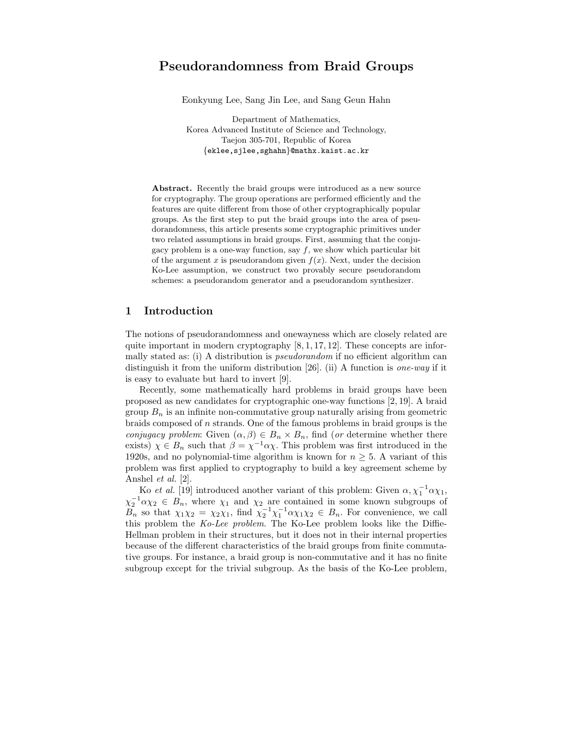# Pseudorandomness from Braid Groups

Eonkyung Lee, Sang Jin Lee, and Sang Geun Hahn

Department of Mathematics, Korea Advanced Institute of Science and Technology, Taejon 305-701, Republic of Korea {eklee,sjlee,sghahn}@mathx.kaist.ac.kr

Abstract. Recently the braid groups were introduced as a new source for cryptography. The group operations are performed efficiently and the features are quite different from those of other cryptographically popular groups. As the first step to put the braid groups into the area of pseudorandomness, this article presents some cryptographic primitives under two related assumptions in braid groups. First, assuming that the conjugacy problem is a one-way function, say  $f$ , we show which particular bit of the argument x is pseudorandom given  $f(x)$ . Next, under the decision Ko-Lee assumption, we construct two provably secure pseudorandom schemes: a pseudorandom generator and a pseudorandom synthesizer.

## 1 Introduction

The notions of pseudorandomness and onewayness which are closely related are quite important in modern cryptography  $[8, 1, 17, 12]$ . These concepts are informally stated as: (i) A distribution is pseudorandom if no efficient algorithm can distinguish it from the uniform distribution [26]. (ii) A function is one-way if it is easy to evaluate but hard to invert [9].

Recently, some mathematically hard problems in braid groups have been proposed as new candidates for cryptographic one-way functions [2, 19]. A braid group  $B_n$  is an infinite non-commutative group naturally arising from geometric braids composed of n strands. One of the famous problems in braid groups is the conjugacy problem: Given  $(\alpha, \beta) \in B_n \times B_n$ , find (or determine whether there exists)  $\chi \in B_n$  such that  $\beta = \chi^{-1} \alpha \chi$ . This problem was first introduced in the 1920s, and no polynomial-time algorithm is known for  $n \geq 5$ . A variant of this problem was first applied to cryptography to build a key agreement scheme by Anshel et al. [2].

Ko *et al.* [19] introduced another variant of this problem: Given  $\alpha, \chi_1^{-1} \alpha \chi_1$ ,  $\chi_2^{-1} \alpha \chi_2 \in B_n$ , where  $\chi_1$  and  $\chi_2$  are contained in some known subgroups of  $B_n$  so that  $\chi_1 \chi_2 = \chi_2 \chi_1$ , find  $\chi_2^{-1} \chi_1^{-1} \alpha \chi_1 \chi_2 \in B_n$ . For convenience, we call this problem the Ko-Lee problem. The Ko-Lee problem looks like the Diffie-Hellman problem in their structures, but it does not in their internal properties because of the different characteristics of the braid groups from finite commutative groups. For instance, a braid group is non-commutative and it has no finite subgroup except for the trivial subgroup. As the basis of the Ko-Lee problem,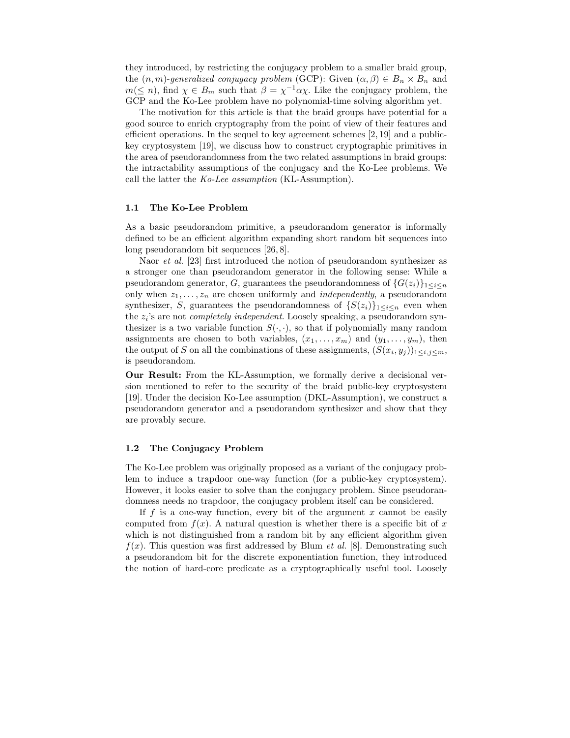they introduced, by restricting the conjugacy problem to a smaller braid group, the  $(n, m)$ -generalized conjugacy problem (GCP): Given  $(\alpha, \beta) \in B_n \times B_n$  and  $m(\leq n)$ , find  $\chi \in B_m$  such that  $\beta = \chi^{-1} \alpha \chi$ . Like the conjugacy problem, the GCP and the Ko-Lee problem have no polynomial-time solving algorithm yet.

The motivation for this article is that the braid groups have potential for a good source to enrich cryptography from the point of view of their features and efficient operations. In the sequel to key agreement schemes  $[2, 19]$  and a publickey cryptosystem [19], we discuss how to construct cryptographic primitives in the area of pseudorandomness from the two related assumptions in braid groups: the intractability assumptions of the conjugacy and the Ko-Lee problems. We call the latter the Ko-Lee assumption (KL-Assumption).

#### 1.1 The Ko-Lee Problem

As a basic pseudorandom primitive, a pseudorandom generator is informally defined to be an efficient algorithm expanding short random bit sequences into long pseudorandom bit sequences [26, 8].

Naor *et al.* [23] first introduced the notion of pseudorandom synthesizer as a stronger one than pseudorandom generator in the following sense: While a pseudorandom generator, G, guarantees the pseudorandomness of  $\{G(z_i)\}_{1\leq i\leq n}$ only when  $z_1, \ldots, z_n$  are chosen uniformly and *independently*, a pseudorandom synthesizer, S, guarantees the pseudorandomness of  $\{S(z_i)\}_{1\leq i\leq n}$  even when the  $z_i$ 's are not *completely independent*. Loosely speaking, a pseudorandom synthesizer is a two variable function  $S(\cdot, \cdot)$ , so that if polynomially many random assignments are chosen to both variables,  $(x_1, \ldots, x_m)$  and  $(y_1, \ldots, y_m)$ , then the output of S on all the combinations of these assignments,  $(S(x_i, y_j))_{1 \leq i,j \leq m}$ , is pseudorandom.

Our Result: From the KL-Assumption, we formally derive a decisional version mentioned to refer to the security of the braid public-key cryptosystem [19]. Under the decision Ko-Lee assumption (DKL-Assumption), we construct a pseudorandom generator and a pseudorandom synthesizer and show that they are provably secure.

#### 1.2 The Conjugacy Problem

The Ko-Lee problem was originally proposed as a variant of the conjugacy problem to induce a trapdoor one-way function (for a public-key cryptosystem). However, it looks easier to solve than the conjugacy problem. Since pseudorandomness needs no trapdoor, the conjugacy problem itself can be considered.

If  $f$  is a one-way function, every bit of the argument  $x$  cannot be easily computed from  $f(x)$ . A natural question is whether there is a specific bit of x which is not distinguished from a random bit by any efficient algorithm given  $f(x)$ . This question was first addressed by Blum *et al.* [8]. Demonstrating such a pseudorandom bit for the discrete exponentiation function, they introduced the notion of hard-core predicate as a cryptographically useful tool. Loosely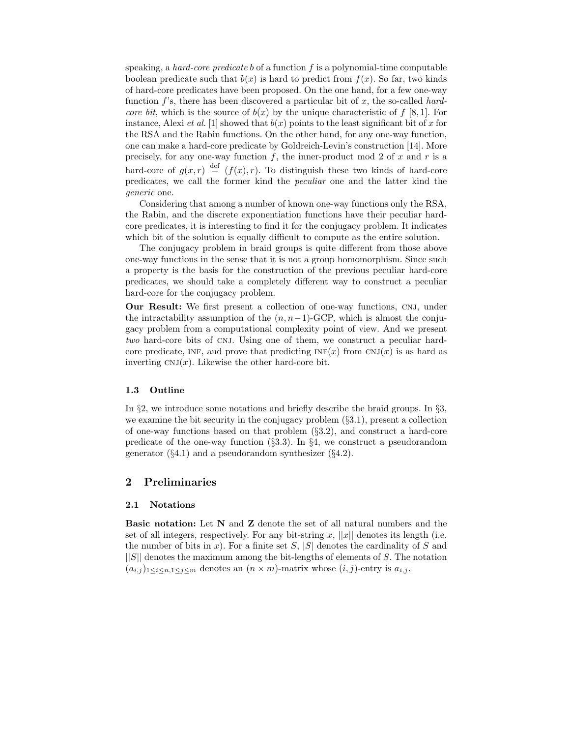speaking, a *hard-core predicate b* of a function  $f$  is a polynomial-time computable boolean predicate such that  $b(x)$  is hard to predict from  $f(x)$ . So far, two kinds of hard-core predicates have been proposed. On the one hand, for a few one-way function f's, there has been discovered a particular bit of x, the so-called hardcore bit, which is the source of  $b(x)$  by the unique characteristic of f [8, 1]. For instance, Alexi *et al.* [1] showed that  $b(x)$  points to the least significant bit of x for the RSA and the Rabin functions. On the other hand, for any one-way function, one can make a hard-core predicate by Goldreich-Levin's construction [14]. More precisely, for any one-way function  $f$ , the inner-product mod 2 of  $x$  and  $r$  is a hard-core of  $g(x,r) \stackrel{\text{def}}{=} (f(x),r)$ . To distinguish these two kinds of hard-core predicates, we call the former kind the peculiar one and the latter kind the generic one.

Considering that among a number of known one-way functions only the RSA, the Rabin, and the discrete exponentiation functions have their peculiar hardcore predicates, it is interesting to find it for the conjugacy problem. It indicates which bit of the solution is equally difficult to compute as the entire solution.

The conjugacy problem in braid groups is quite different from those above one-way functions in the sense that it is not a group homomorphism. Since such a property is the basis for the construction of the previous peculiar hard-core predicates, we should take a completely different way to construct a peculiar hard-core for the conjugacy problem.

Our Result: We first present a collection of one-way functions, CNJ, under the intractability assumption of the  $(n, n-1)$ -GCP, which is almost the conjugacy problem from a computational complexity point of view. And we present two hard-core bits of CNJ. Using one of them, we construct a peculiar hardcore predicate, INF, and prove that predicting  $INF(x)$  from  $CNJ(x)$  is as hard as inverting  $CNJ(x)$ . Likewise the other hard-core bit.

## 1.3 Outline

In §2, we introduce some notations and briefly describe the braid groups. In §3, we examine the bit security in the conjugacy problem (§3.1), present a collection of one-way functions based on that problem (§3.2), and construct a hard-core predicate of the one-way function  $(\S 3.3)$ . In  $\S 4$ , we construct a pseudorandom generator  $(\S4.1)$  and a pseudorandom synthesizer  $(\S4.2)$ .

# 2 Preliminaries

#### 2.1 Notations

Basic notation: Let N and Z denote the set of all natural numbers and the set of all integers, respectively. For any bit-string x,  $||x||$  denotes its length (i.e. the number of bits in x). For a finite set S,  $|S|$  denotes the cardinality of S and  $||S||$  denotes the maximum among the bit-lengths of elements of S. The notation  $(a_{i,j})_{1\leq i\leq n,1\leq j\leq m}$  denotes an  $(n\times m)$ -matrix whose  $(i,j)$ -entry is  $a_{i,j}$ .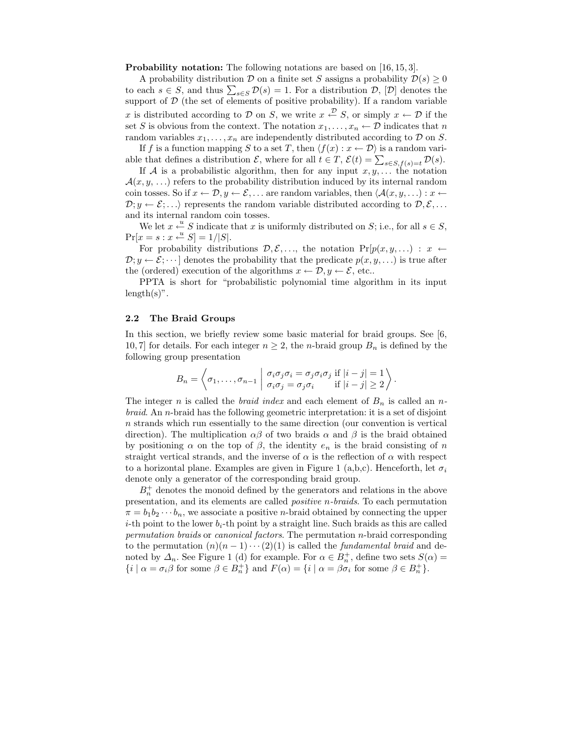Probability notation: The following notations are based on [16, 15, 3].

A probability distribution D on a finite set S assigns a probability  $\mathcal{D}(s) \geq 0$ to each  $s \in S$ , and thus  $\sum_{s \in S} \mathcal{D}(s) = 1$ . For a distribution  $\mathcal{D}$ ,  $[\mathcal{D}]$  denotes the support of  $D$  (the set of elements of positive probability). If a random variable x is distributed according to  $D$  on S, we write  $x \stackrel{\mathcal{D}}{\leftarrow} S$ , or simply  $x \leftarrow D$  if the set S is obvious from the context. The notation  $x_1, \ldots, x_n \leftarrow \mathcal{D}$  indicates that n random variables  $x_1, \ldots, x_n$  are independently distributed according to  $D$  on  $S$ .

If f is a function mapping S to a set T, then  $\langle f(x) : x \leftarrow \mathcal{D} \rangle$  is a random variable that defines a distribution  $\mathcal{E}$ , where for all  $t \in T$ ,  $\mathcal{E}(t) = \sum_{s \in S, f(s) = t} \mathcal{D}(s)$ .

If A is a probabilistic algorithm, then for any input  $x, y, \ldots$  the notation  $\mathcal{A}(x, y, \ldots)$  refers to the probability distribution induced by its internal random coin tosses. So if  $x \leftarrow \mathcal{D}, y \leftarrow \mathcal{E}, \ldots$  are random variables, then  $\langle \mathcal{A}(x, y, \ldots) : x \leftarrow$  $\mathcal{D}; y \leftarrow \mathcal{E}; \ldots$  represents the random variable distributed according to  $\mathcal{D}, \mathcal{E}, \ldots$ and its internal random coin tosses.

We let  $x \stackrel{u}{\leftarrow} S$  indicate that x is uniformly distributed on S; i.e., for all  $s \in S$ ,  $Pr[x = s : x \stackrel{u}{\leftarrow} S] = 1/|S|.$ 

For probability distributions  $\mathcal{D}, \mathcal{E}, \ldots$ , the notation  $\Pr[p(x, y, \ldots) : x \leftarrow$  $\mathcal{D}; y \leftarrow \mathcal{E}; \dots$  denotes the probability that the predicate  $p(x, y, \dots)$  is true after the (ordered) execution of the algorithms  $x \leftarrow \mathcal{D}, y \leftarrow \mathcal{E}$ , etc..

PPTA is short for "probabilistic polynomial time algorithm in its input  $length(s)$ ".

## 2.2 The Braid Groups

In this section, we briefly review some basic material for braid groups. See [6, 10, 7] for details. For each integer  $n \geq 2$ , the *n*-braid group  $B_n$  is defined by the following group presentation

$$
B_n = \left\langle \sigma_1, \ldots, \sigma_{n-1} \mid \begin{array}{c} \sigma_i \sigma_j \sigma_i = \sigma_j \sigma_i \sigma_j \text{ if } |i-j| = 1 \\ \sigma_i \sigma_j = \sigma_j \sigma_i \text{ if } |i-j| \geq 2 \end{array} \right\rangle.
$$

The integer n is called the *braid index* and each element of  $B_n$  is called an nbraid. An n-braid has the following geometric interpretation: it is a set of disjoint n strands which run essentially to the same direction (our convention is vertical direction). The multiplication  $\alpha\beta$  of two braids  $\alpha$  and  $\beta$  is the braid obtained by positioning  $\alpha$  on the top of  $\beta$ , the identity  $e_n$  is the braid consisting of n straight vertical strands, and the inverse of  $\alpha$  is the reflection of  $\alpha$  with respect to a horizontal plane. Examples are given in Figure 1 (a,b,c). Henceforth, let  $\sigma_i$ denote only a generator of the corresponding braid group.

 $B_n^+$  denotes the monoid defined by the generators and relations in the above presentation, and its elements are called positive n-braids. To each permutation  $\pi = b_1 b_2 \cdots b_n$ , we associate a positive *n*-braid obtained by connecting the upper *i*-th point to the lower  $b_i$ -th point by a straight line. Such braids as this are called permutation braids or canonical factors. The permutation n-braid corresponding to the permutation  $(n)(n-1)\cdots(2)(1)$  is called the *fundamental braid* and denoted by  $\Delta_n$ . See Figure 1 (d) for example. For  $\alpha \in B_n^+$ , define two sets  $S(\alpha)$  =  $\{i \mid \alpha = \sigma_i \beta \text{ for some } \beta \in B_n^+\}$  and  $F(\alpha) = \{i \mid \alpha = \beta \sigma_i \text{ for some } \beta \in B_n^+\}.$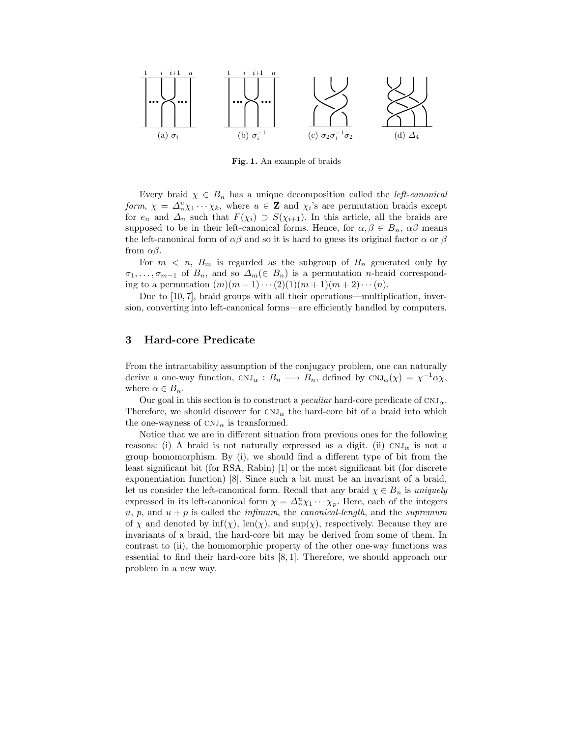

Fig. 1. An example of braids

Every braid  $\chi \in B_n$  has a unique decomposition called the *left-canonical* form,  $\chi = \Delta_n^u \chi_1 \cdots \chi_k$ , where  $u \in \mathbf{Z}$  and  $\chi_i$ 's are permutation braids except for  $e_n$  and  $\Delta_n$  such that  $F(\chi_i) \supset S(\chi_{i+1})$ . In this article, all the braids are supposed to be in their left-canonical forms. Hence, for  $\alpha, \beta \in B_n$ ,  $\alpha\beta$  means the left-canonical form of  $\alpha\beta$  and so it is hard to guess its original factor  $\alpha$  or  $\beta$ from αβ.

For  $m < n$ ,  $B_m$  is regarded as the subgroup of  $B_n$  generated only by  $\sigma_1, \ldots, \sigma_{m-1}$  of  $B_n$ , and so  $\Delta_m(\in B_n)$  is a permutation *n*-braid corresponding to a permutation  $(m)(m-1)\cdots(2)(1)(m+1)(m+2)\cdots(n)$ .

Due to [10, 7], braid groups with all their operations—multiplication, inversion, converting into left-canonical forms—are efficiently handled by computers.

# 3 Hard-core Predicate

From the intractability assumption of the conjugacy problem, one can naturally derive a one-way function,  $CNJ_{\alpha}: B_n \longrightarrow B_n$ , defined by  $CNJ_{\alpha}(\chi) = \chi^{-1} \alpha \chi$ , where  $\alpha \in B_n$ .

Our goal in this section is to construct a *peculiar* hard-core predicate of  $CNJ_{\alpha}$ . Therefore, we should discover for  $CNJ_{\alpha}$  the hard-core bit of a braid into which the one-wayness of  $CNJ_{\alpha}$  is transformed.

Notice that we are in different situation from previous ones for the following reasons: (i) A braid is not naturally expressed as a digit. (ii)  $CNJ_{\alpha}$  is not a group homomorphism. By (i), we should find a different type of bit from the least significant bit (for RSA, Rabin) [1] or the most significant bit (for discrete exponentiation function) [8]. Since such a bit must be an invariant of a braid, let us consider the left-canonical form. Recall that any braid  $\chi \in B_n$  is uniquely expressed in its left-canonical form  $\chi = \Delta_n^u \chi_1 \cdots \chi_p$ . Here, each of the integers u, p, and  $u + p$  is called the *infimum*, the *canonical-length*, and the *supremum* of  $\chi$  and denoted by  $\inf(\chi)$ ,  $\text{len}(\chi)$ , and  $\text{sup}(\chi)$ , respectively. Because they are invariants of a braid, the hard-core bit may be derived from some of them. In contrast to (ii), the homomorphic property of the other one-way functions was essential to find their hard-core bits [8, 1]. Therefore, we should approach our problem in a new way.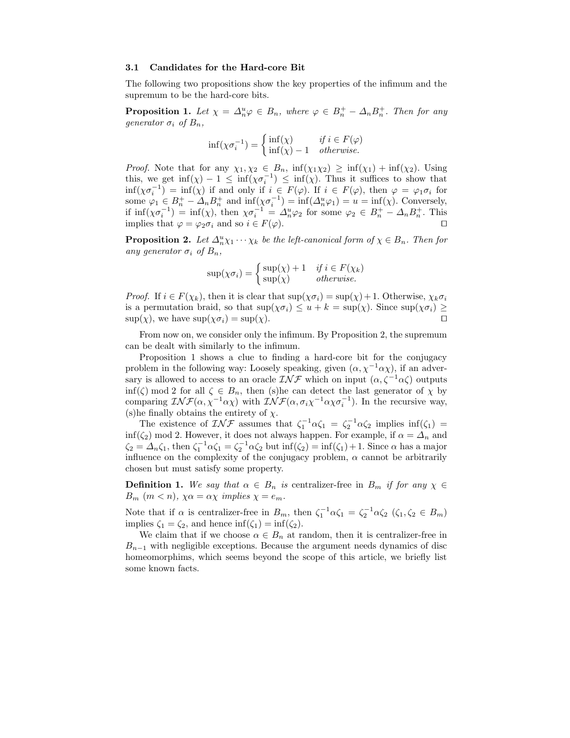#### 3.1 Candidates for the Hard-core Bit

The following two propositions show the key properties of the infimum and the supremum to be the hard-core bits.

**Proposition 1.** Let  $\chi = \Delta_n^u \varphi \in B_n$ , where  $\varphi \in B_n^+ - \Delta_n B_n^+$ . Then for any generator  $\sigma_i$  of  $B_n$ ,

$$
\inf(\chi \sigma_i^{-1}) = \begin{cases} \inf(\chi) & \text{if } i \in F(\varphi) \\ \inf(\chi) - 1 & \text{otherwise.} \end{cases}
$$

*Proof.* Note that for any  $\chi_1, \chi_2 \in B_n$ ,  $\inf(\chi_1 \chi_2) \geq \inf(\chi_1) + \inf(\chi_2)$ . Using this, we get  $\inf(\chi) - 1 \leq \inf(\chi \sigma_i^{-1}) \leq \inf(\chi)$ . Thus it suffices to show that  $\inf(\chi\sigma_i^{-1}) = \inf(\chi)$  if and only if  $i \in F(\varphi)$ . If  $i \in F(\varphi)$ , then  $\varphi = \varphi_1 \sigma_i$  for some  $\varphi_1 \in B_n^+ - \Delta_n B_n^+$  and  $\inf(\chi \sigma_i^{-1}) = \inf(\Delta_n^u \varphi_1) = u = \inf(\chi)$ . Conversely, if  $\inf(\chi \sigma_i^{-1}) = \inf(\chi)$ , then  $\chi \sigma_i^{-1} = \Delta_n^u \varphi_2$  for some  $\varphi_2 \in B_n^+ - \Delta_n B_n^+$ . This implies that  $\varphi = \varphi_2 \sigma_i$  and so  $i \in F(\varphi)$ .

**Proposition 2.** Let  $\Delta_n^u \chi_1 \cdots \chi_k$  be the left-canonical form of  $\chi \in B_n$ . Then for any generator  $\sigma_i$  of  $B_n$ ,

$$
\sup(\chi \sigma_i) = \begin{cases} \sup(\chi) + 1 & \text{if } i \in F(\chi_k) \\ \sup(\chi) & \text{otherwise.} \end{cases}
$$

*Proof.* If  $i \in F(\chi_k)$ , then it is clear that  $\sup(\chi \sigma_i) = \sup(\chi) + 1$ . Otherwise,  $\chi_k \sigma_i$ is a permutation braid, so that  $\sup(\chi \sigma_i) \leq u + k = \sup(\chi)$ . Since  $\sup(\chi \sigma_i) \geq$  $\sup(\chi)$ , we have  $\sup(\chi \sigma_i) = \sup(\chi)$ .

From now on, we consider only the infimum. By Proposition 2, the supremum can be dealt with similarly to the infimum.

Proposition 1 shows a clue to finding a hard-core bit for the conjugacy problem in the following way: Loosely speaking, given  $(\alpha, \chi^{-1}\alpha\chi)$ , if an adversary is allowed to access to an oracle  $\mathcal{INF}$  which on input  $(\alpha, \zeta^{-1}\alpha\zeta)$  outputs  $\inf(\zeta) \mod 2$  for all  $\zeta \in B_n$ , then (s)he can detect the last generator of  $\chi$  by comparing  $\mathcal{INF}(\alpha, \chi^{-1}\alpha\chi)$  with  $\mathcal{INF}(\alpha, \sigma_i\chi^{-1}\alpha\chi\sigma_i^{-1})$ . In the recursive way, (s) he finally obtains the entirety of  $\chi$ .

The existence of  $\mathcal{INF}$  assumes that  $\zeta_1^{-1}\alpha\zeta_1 = \zeta_2^{-1}\alpha\zeta_2$  implies  $\inf(\zeta_1) =$  $\inf(\zeta_2) \mod 2$ . However, it does not always happen. For example, if  $\alpha = \Delta_n$  and  $\zeta_2 = \Delta_n \zeta_1$ , then  $\zeta_1^{-1} \alpha \zeta_1 = \zeta_2^{-1} \alpha \zeta_2$  but  $\inf(\zeta_2) = \inf(\zeta_1) + 1$ . Since  $\alpha$  has a major influence on the complexity of the conjugacy problem,  $\alpha$  cannot be arbitrarily chosen but must satisfy some property.

**Definition 1.** We say that  $\alpha \in B_n$  is centralizer-free in  $B_m$  if for any  $\chi \in$  $B_m$   $(m < n)$ ,  $\chi \alpha = \alpha \chi$  implies  $\chi = e_m$ .

Note that if  $\alpha$  is centralizer-free in  $B_m$ , then  $\zeta_1^{-1}\alpha\zeta_1 = \zeta_2^{-1}\alpha\zeta_2$   $(\zeta_1, \zeta_2 \in B_m)$ implies  $\zeta_1 = \zeta_2$ , and hence inf( $\zeta_1$ ) = inf( $\zeta_2$ ).

We claim that if we choose  $\alpha \in B_n$  at random, then it is centralizer-free in  $B_{n-1}$  with negligible exceptions. Because the argument needs dynamics of disc homeomorphims, which seems beyond the scope of this article, we briefly list some known facts.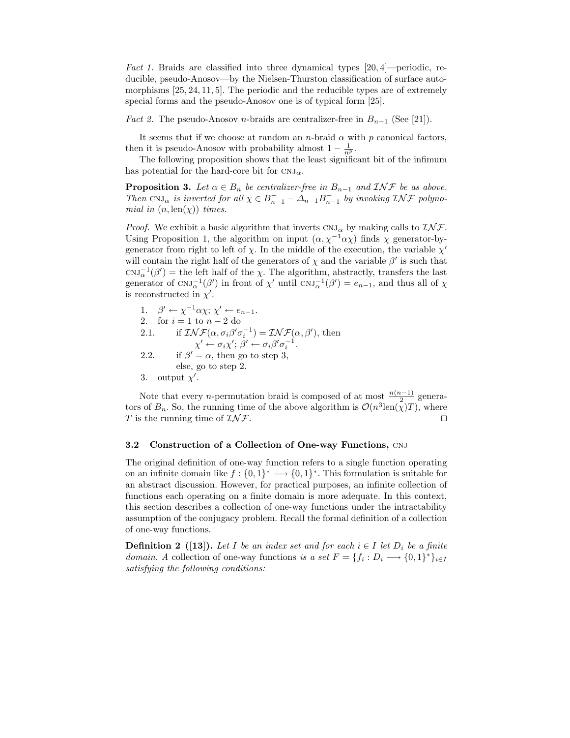Fact 1. Braids are classified into three dynamical types  $[20, 4]$ —periodic, reducible, pseudo-Anosov—by the Nielsen-Thurston classification of surface automorphisms [25, 24, 11, 5]. The periodic and the reducible types are of extremely special forms and the pseudo-Anosov one is of typical form [25].

*Fact 2.* The pseudo-Anosov *n*-braids are centralizer-free in  $B_{n-1}$  (See [21]).

It seems that if we choose at random an n-braid  $\alpha$  with  $p$  canonical factors, then it is pseudo-Anosov with probability almost  $1 - \frac{1}{n^p}$ .

The following proposition shows that the least significant bit of the infimum has potential for the hard-core bit for  $CNJ_{\alpha}$ .

**Proposition 3.** Let  $\alpha \in B_n$  be centralizer-free in  $B_{n-1}$  and  $\mathcal{I} \mathcal{N} \mathcal{F}$  be as above. Then CNJ<sub>α</sub> is inverted for all  $\chi \in B_{n-1}^+ - \Delta_{n-1} B_{n-1}^+$  by invoking  $\mathcal{INF}$  polynomial in  $(n, \text{len}(\chi))$  times.

*Proof.* We exhibit a basic algorithm that inverts  $CNJ_{\alpha}$  by making calls to  $\mathcal{INF}$ . Using Proposition 1, the algorithm on input  $(\alpha, \chi^{-1}\alpha\chi)$  finds  $\chi$  generator-bygenerator from right to left of  $\chi$ . In the middle of the execution, the variable  $\chi'$ will contain the right half of the generators of  $\chi$  and the variable  $\beta'$  is such that  $\text{CNJ}_{\alpha}^{-1}(\beta') = \text{the left half of the } \chi$ . The algorithm, abstractly, transfers the last generator of  $CNJ_{\alpha}^{-1}(\beta')$  in front of  $\chi'$  until  $CNJ_{\alpha}^{-1}(\beta') = e_{n-1}$ , and thus all of  $\chi$ is reconstructed in  $\chi'$ .

\n- 1. 
$$
\beta' \leftarrow \chi^{-1} \alpha \chi; \chi' \leftarrow e_{n-1}.
$$
\n- 2. for  $i = 1$  to  $n - 2$  do
\n- 2.1. if  $\mathcal{I} \mathcal{N} \mathcal{F}(\alpha, \sigma_i \beta' \sigma_i^{-1}) = \mathcal{I} \mathcal{N} \mathcal{F}(\alpha, \beta'),$  then  $\chi' \leftarrow \sigma_i \chi'; \beta' \leftarrow \sigma_i \beta' \sigma_i^{-1}.$
\n- 2.2. if  $\beta' = \alpha$ , then go to step 3, else, go to step 2.
\n- 3. output  $\chi'.$
\n

Note that every *n*-permutation braid is composed of at most  $\frac{n(n-1)}{2}$  generators of  $B_n$ . So, the running time of the above algorithm is  $\mathcal{O}(n^3 \text{len}(\chi)T)$ , where T is the running time of  $\mathcal{INF}$ .

#### 3.2 Construction of a Collection of One-way Functions, CNJ

The original definition of one-way function refers to a single function operating on an infinite domain like  $f: \{0,1\}^* \longrightarrow \{0,1\}^*$ . This formulation is suitable for an abstract discussion. However, for practical purposes, an infinite collection of functions each operating on a finite domain is more adequate. In this context, this section describes a collection of one-way functions under the intractability assumption of the conjugacy problem. Recall the formal definition of a collection of one-way functions.

**Definition 2** ([13]). Let I be an index set and for each  $i \in I$  let  $D_i$  be a finite *domain.* A collection of one-way functions is a set  $F = \{f_i : D_i \longrightarrow \{0,1\}^*\}_{i \in I}$ satisfying the following conditions: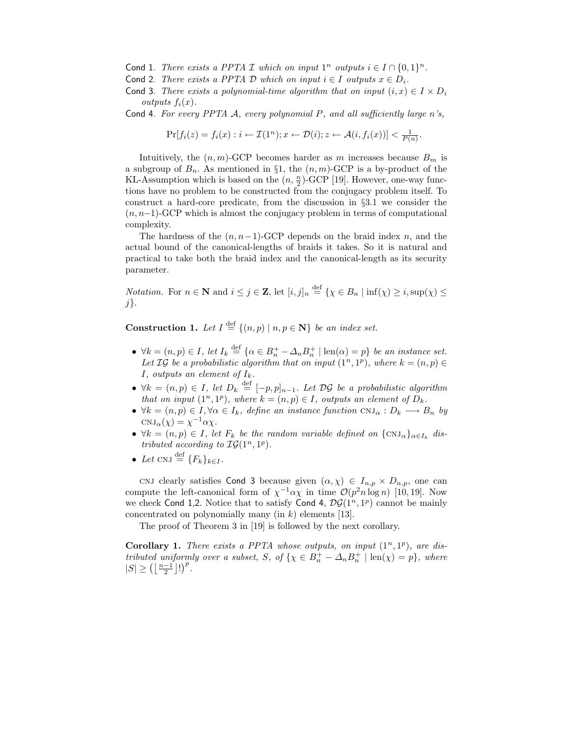- Cond 1. There exists a PPTA I which on input  $1^n$  outputs  $i \in I \cap \{0,1\}^n$ .
- Cond 2. There exists a PPTA  $D$  which on input  $i \in I$  outputs  $x \in D_i$ .
- Cond 3. There exists a polynomial-time algorithm that on input  $(i, x) \in I \times D_i$ outputs  $f_i(x)$ .
- Cond 4. For every PPTA  $\mathcal A$ , every polynomial  $P$ , and all sufficiently large n's,

$$
\Pr[f_i(z) = f_i(x) : i \leftarrow \mathcal{I}(1^n); x \leftarrow \mathcal{D}(i); z \leftarrow \mathcal{A}(i, f_i(x))] < \frac{1}{P(n)}.
$$

Intuitively, the  $(n, m)$ -GCP becomes harder as m increases because  $B_m$  is a subgroup of  $B_n$ . As mentioned in §1, the  $(n, m)$ -GCP is a by-product of the KL-Assumption which is based on the  $(n, \frac{n}{2})$ -GCP [19]. However, one-way functions have no problem to be constructed from the conjugacy problem itself. To construct a hard-core predicate, from the discussion in §3.1 we consider the  $(n, n-1)$ -GCP which is almost the conjugacy problem in terms of computational complexity.

The hardness of the  $(n, n-1)$ -GCP depends on the braid index n, and the actual bound of the canonical-lengths of braids it takes. So it is natural and practical to take both the braid index and the canonical-length as its security parameter.

*Notation.* For  $n \in \mathbb{N}$  and  $i \leq j \in \mathbb{Z}$ , let  $[i, j]_n \stackrel{\text{def}}{=} {\chi \in B_n \mid \inf(\chi) \geq i, \sup(\chi) \leq j}$ j}.

**Construction 1.** Let  $I \stackrel{\text{def}}{=} \{(n, p) \mid n, p \in \mathbb{N}\}\$ be an index set.

- $\forall k = (n, p) \in I$ , let  $I_k \stackrel{\text{def}}{=} {\alpha \in B_n^+ \Delta_n B_n^+ \mid \text{len}(\alpha) = p}$  be an instance set. Let  $\mathcal{IG}$  be a probabilistic algorithm that on input  $(1^n, 1^p)$ , where  $k = (n, p) \in$ I, outputs an element of  $I_k$ .
- $\forall k = (n, p) \in I$ , let  $D_k \stackrel{\text{def}}{=} [-p, p]_{n-1}$ . Let  $\mathcal{DG}$  be a probabilistic algorithm that on input  $(1^n, 1^p)$ , where  $k = (n, p) \in I$ , outputs an element of  $D_k$ .
- $\forall k = (n, p) \in I, \forall \alpha \in I_k$ , define an instance function  $\text{CNJ}_{\alpha}: D_k \longrightarrow B_n$  by  $\mathrm{CNJ}_{\alpha}(\chi) = \chi^{-1} \alpha \chi.$
- $\forall k = (n, p) \in I$ , let  $F_k$  be the random variable defined on  $\{\text{CNJ}_{\alpha}\}_{\alpha \in I_k}$  distributed according to  $\mathcal{IG}(1^n, 1^p)$ .
- Let CNJ  $\stackrel{\text{def}}{=} \{F_k\}_{k\in I}$ .

CNJ clearly satisfies Cond 3 because given  $(\alpha, \chi) \in I_{n,p} \times D_{n,p}$ , one can compute the left-canonical form of  $\chi^{-1}\alpha\chi$  in time  $\mathcal{O}(p^2n\log n)$  [10, 19]. Now we check Cond 1,2. Notice that to satisfy Cond 4,  $\mathcal{DG}(1^n, 1^p)$  cannot be mainly concentrated on polynomially many (in  $k$ ) elements [13].

The proof of Theorem 3 in [19] is followed by the next corollary.

Corollary 1. There exists a PPTA whose outputs, on input  $(1^n, 1^p)$ , are distributed uniformly over a subset, S, of  $\{\chi \in B_n^+ - \Delta_n B_n^+ \mid \text{len}(\chi) = p\}$ , where  $|S| \geq \left(\left\lfloor \frac{n-1}{2} \right\rfloor!\right)^p$ .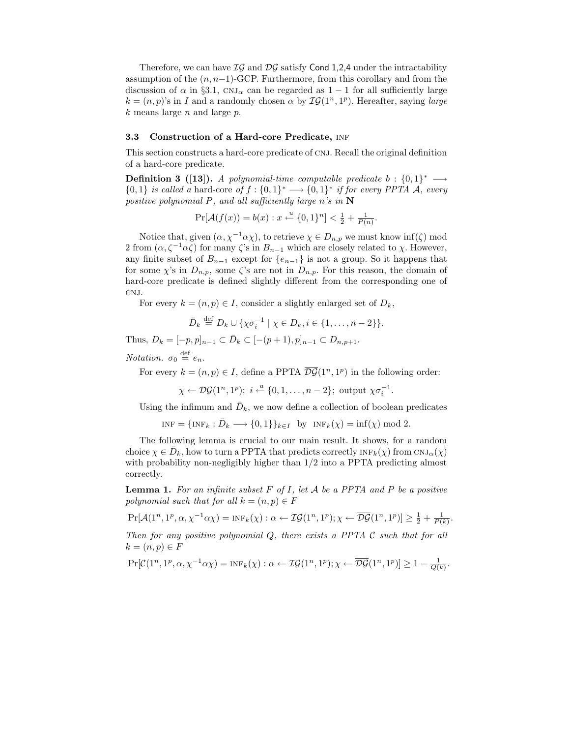Therefore, we can have  $IG$  and  $DG$  satisfy Cond 1,2,4 under the intractability assumption of the  $(n, n-1)$ -GCP. Furthermore, from this corollary and from the discussion of  $\alpha$  in §3.1, CNJ<sub> $\alpha$ </sub> can be regarded as 1 − 1 for all sufficiently large  $k = (n, p)$ 's in I and a randomly chosen  $\alpha$  by  $\mathcal{IG}(1^n, 1^p)$ . Hereafter, saying large  $k$  means large  $n$  and large  $p$ .

## 3.3 Construction of a Hard-core Predicate, INF

This section constructs a hard-core predicate of CNJ. Recall the original definition of a hard-core predicate.

**Definition 3** ([13]). A polynomial-time computable predicate  $b: \{0,1\}^* \longrightarrow$  $\{0,1\}$  is called a hard-core of  $f: \{0,1\}^* \longrightarrow \{0,1\}^*$  if for every PPTA A, every positive polynomial P, and all sufficiently large n's in  $N$ 

$$
\Pr[\mathcal{A}(f(x)) = b(x) : x \xleftarrow{u} \{0, 1\}^n] < \frac{1}{2} + \frac{1}{P(n)}.
$$

Notice that, given  $(\alpha, \chi^{-1}\alpha\chi)$ , to retrieve  $\chi \in D_{n,p}$  we must know inf( $\zeta$ ) mod 2 from  $(\alpha, \zeta^{-1}\alpha\zeta)$  for many  $\zeta$ 's in  $B_{n-1}$  which are closely related to  $\chi$ . However, any finite subset of  $B_{n-1}$  except for  $\{e_{n-1}\}\$ is not a group. So it happens that for some  $\chi$ 's in  $D_{n,p}$ , some  $\zeta$ 's are not in  $D_{n,p}$ . For this reason, the domain of hard-core predicate is defined slightly different from the corresponding one of CNJ.

For every  $k = (n, p) \in I$ , consider a slightly enlarged set of  $D_k$ ,

$$
\bar{D}_k \stackrel{\text{def}}{=} D_k \cup \{ \chi \sigma_i^{-1} \mid \chi \in D_k, i \in \{1, \ldots, n-2\} \}.
$$

Thus,  $D_k = [-p, p]_{n-1} \subset \bar{D}_k \subset [-(p+1), p]_{n-1} \subset D_{n, p+1}.$ 

Notation.  $\sigma_0 \stackrel{\text{def}}{=} e_n$ .

For every  $k = (n, p) \in I$ , define a PPTA  $\overline{DG}(1^n, 1^p)$  in the following order:

$$
\chi \leftarrow \mathcal{DG}(1^n, 1^p); \ i \leftarrow \{0, 1, \dots, n-2\}; \text{ output } \chi \sigma_i^{-1}.
$$

Using the infimum and  $\bar{D}_k$ , we now define a collection of boolean predicates

 $INF = {INF_k : \bar{D}_k \longrightarrow {0,1}}_{k \in I}$  by  $INF_k(\chi) = \inf(\chi) \mod 2$ .

The following lemma is crucial to our main result. It shows, for a random choice  $\chi \in \bar{D}_k$ , how to turn a PPTA that predicts correctly  $\text{INF}_k(\chi)$  from  $\text{CNJ}_{\alpha}(\chi)$ with probability non-negligibly higher than  $1/2$  into a PPTA predicting almost correctly.

**Lemma 1.** For an infinite subset  $F$  of  $I$ , let  $A$  be a PPTA and  $P$  be a positive polynomial such that for all  $k = (n, p) \in F$ 

$$
\Pr[\mathcal{A}(1^n, 1^p, \alpha, \chi^{-1}\alpha\chi) = \text{INF}_k(\chi) : \alpha \leftarrow \mathcal{IG}(1^n, 1^p); \chi \leftarrow \overline{\mathcal{DG}}(1^n, 1^p)] \ge \frac{1}{2} + \frac{1}{P(k)}.
$$

Then for any positive polynomial  $Q$ , there exists a PPTA  $C$  such that for all  $k = (n, p) \in F$ 

$$
\Pr[\mathcal{C}(1^n, 1^p, \alpha, \chi^{-1}\alpha\chi) = \text{INF}_k(\chi) : \alpha \leftarrow \mathcal{IG}(1^n, 1^p); \chi \leftarrow \overline{\mathcal{DG}}(1^n, 1^p)] \ge 1 - \frac{1}{\mathcal{Q}(k)}
$$

.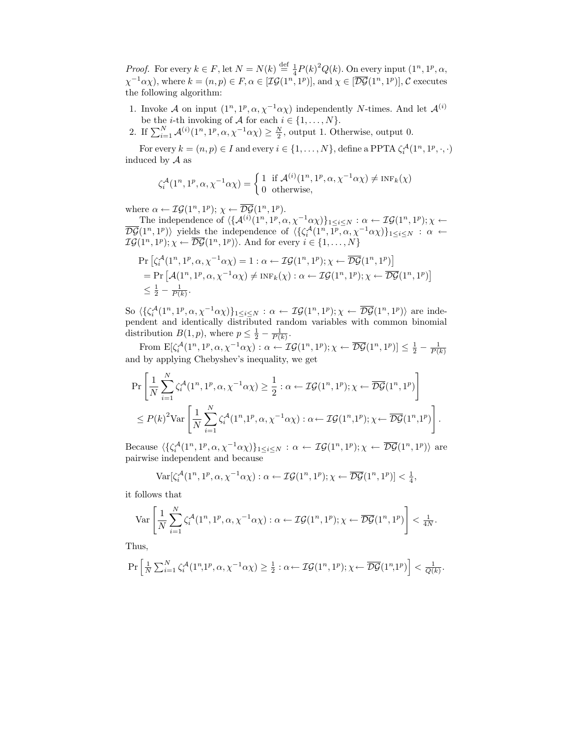*Proof.* For every  $k \in F$ , let  $N = N(k) \stackrel{\text{def}}{=} \frac{1}{4} P(k)^2 Q(k)$ . On every input  $(1^n, 1^p, \alpha,$  $\chi^{-1}\alpha\chi$ ), where  $k = (n, p) \in F, \alpha \in [\mathcal{IG}(1^n, 1^p)],$  and  $\chi \in [\overline{\mathcal{DG}}(1^n, 1^p)],$  C executes the following algorithm:

- 1. Invoke A on input  $(1^n, 1^p, \alpha, \chi^{-1}\alpha\chi)$  independently N-times. And let  $\mathcal{A}^{(i)}$ be the *i*-th invoking of A for each  $i \in \{1, \ldots, N\}$ .
- 2. If  $\sum_{i=1}^{N} \mathcal{A}^{(i)}(1^n, 1^p, \alpha, \chi^{-1}\alpha\chi) \ge \frac{N}{2}$ , output 1. Otherwise, output 0.

For every  $k = (n, p) \in I$  and every  $i \in \{1, ..., N\}$ , define a PPTA  $\zeta_i^{\mathcal{A}}(1^n, 1^p, \cdot, \cdot)$ induced by A as

$$
\zeta_i^{\mathcal{A}}(1^n, 1^p, \alpha, \chi^{-1}\alpha\chi) = \begin{cases} 1 & \text{if } \mathcal{A}^{(i)}(1^n, 1^p, \alpha, \chi^{-1}\alpha\chi) \neq \text{INF}_k(\chi) \\ 0 & \text{otherwise,} \end{cases}
$$

where  $\alpha \leftarrow \mathcal{IG}(1^n, 1^p); \ \chi \leftarrow \overline{\mathcal{DG}}(1^n, 1^p).$ 

The independence of  $\langle \{A^{(i)}(1^n, 1^p, \alpha, \chi^{-1}\alpha\chi)\}_{1\leq i\leq N} : \alpha \leftarrow \mathcal{IG}(1^n, 1^p); \chi \leftarrow$  $\overline{\mathcal{DG}}(1^n,1^p)\rangle$  yields the independence of  $\langle \{\zeta_i^{\mathcal{A}}(1^n,1^p,\alpha,\chi^{-1}\alpha\chi)\}_{1\leq i\leq N} : \alpha \leftarrow$  $\mathcal{IG}(1^n, 1^p); \chi \leftarrow \overline{DG}(1^n, 1^p)$ . And for every  $i \in \{1, \ldots, N\}$ 

$$
\Pr\left[\zeta_i^{\mathcal{A}}(1^n, 1^p, \alpha, \chi^{-1}\alpha\chi) = 1 : \alpha \leftarrow \mathcal{IG}(1^n, 1^p); \chi \leftarrow \overline{\mathcal{DG}}(1^n, 1^p)\right] \n= \Pr\left[\mathcal{A}(1^n, 1^p, \alpha, \chi^{-1}\alpha\chi) \neq \text{INF}_k(\chi) : \alpha \leftarrow \mathcal{IG}(1^n, 1^p); \chi \leftarrow \overline{\mathcal{DG}}(1^n, 1^p)\right] \n\leq \frac{1}{2} - \frac{1}{P(k)}.
$$

So  $\langle \{\zeta_i^{\mathcal{A}}(1^n, 1^p, \alpha, \chi^{-1}\alpha\chi)\}_{1\leq i\leq N} : \alpha \leftarrow \mathcal{IG}(1^n, 1^p); \chi \leftarrow \overline{\mathcal{DG}}(1^n, 1^p) \rangle$  are independent and identically distributed random variables with common binomial distribution  $B(1, p)$ , where  $p \leq \frac{1}{2} - \frac{1}{P(k)}$ .

From  $\mathbb{E}[\zeta_i^{\mathcal{A}}(1^n, 1^p, \alpha, \chi^{-1}\alpha\chi) : \alpha \leftarrow \mathcal{IG}(1^n, 1^p); \chi \leftarrow \overline{\mathcal{DG}}(1^n, 1^p)] \leq \frac{1}{2} - \frac{1}{P(k)}$ and by applying Chebyshev's inequality, we get

$$
\begin{split} &\Pr\left[\frac{1}{N}\sum_{i=1}^{N}\zeta_i^{\mathcal{A}}(1^n,1^p,\alpha,\chi^{-1}\alpha\chi)\geq \frac{1}{2}:\alpha\leftarrow \mathcal{IG}(1^n,1^p);\chi\leftarrow \overline{\mathcal{DG}}(1^n,1^p)\right]\\ &\leq P(k)^2\text{Var}\left[\frac{1}{N}\sum_{i=1}^{N}\zeta_i^{\mathcal{A}}(1^n,1^p,\alpha,\chi^{-1}\alpha\chi):\alpha\leftarrow \mathcal{IG}(1^n,1^p);\chi\leftarrow \overline{\mathcal{DG}}(1^n,1^p)\right]. \end{split}
$$

Because  $\langle \{\zeta_i^{\mathcal{A}}(1^n, 1^p, \alpha, \chi^{-1}\alpha\chi)\}\_{1\leq i\leq N} : \alpha \leftarrow \mathcal{IG}(1^n, 1^p); \chi \leftarrow \overline{\mathcal{DG}}(1^n, 1^p)\rangle$  are pairwise independent and because

$$
\text{Var}[\zeta_i^{\mathcal{A}}(1^n, 1^p, \alpha, \chi^{-1}\alpha\chi) : \alpha \leftarrow \mathcal{IG}(1^n, 1^p); \chi \leftarrow \overline{\mathcal{DG}}(1^n, 1^p)] < \frac{1}{4},
$$

it follows that

$$
\operatorname{Var}\left[\frac{1}{N}\sum_{i=1}^N \zeta_i^{\mathcal{A}}(1^n, 1^p, \alpha, \chi^{-1}\alpha\chi) : \alpha \leftarrow \mathcal{IG}(1^n, 1^p); \chi \leftarrow \overline{\mathcal{DG}}(1^n, 1^p)\right] < \frac{1}{4N}.
$$

Thus,

$$
\Pr\left[\tfrac{1}{N}\sum_{i=1}^N \zeta_i^{\mathcal{A}}(1^n,1^p,\alpha,\chi^{-1}\alpha\chi)\geq \tfrac{1}{2}:\alpha\leftarrow \mathcal{IG}(1^n,1^p); \chi\leftarrow \overline{\mathcal{DG}}(1^n,1^p)\right] < \tfrac{1}{Q(k)}.
$$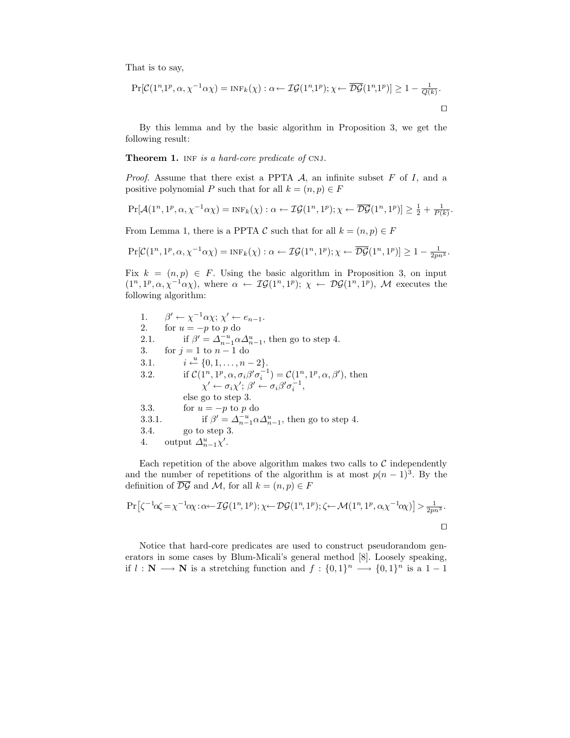That is to say,

$$
\Pr[\mathcal{C}(1^n,1^p,\alpha,\chi^{-1}\alpha\chi) = \text{INF}_k(\chi) : \alpha \leftarrow \mathcal{IG}(1^n,1^p); \chi \leftarrow \overline{\mathcal{DG}}(1^n,1^p)] \ge 1 - \frac{1}{Q(k)}.
$$

By this lemma and by the basic algorithm in Proposition 3, we get the following result:

#### Theorem 1. INF is a hard-core predicate of CNJ.

*Proof.* Assume that there exist a PPTA  $\mathcal{A}$ , an infinite subset  $F$  of  $I$ , and a positive polynomial P such that for all  $k = (n, p) \in F$ 

$$
\Pr[\mathcal{A}(1^n, 1^p, \alpha, \chi^{-1}\alpha\chi) = \text{INF}_k(\chi) : \alpha \leftarrow \mathcal{IG}(1^n, 1^p); \chi \leftarrow \overline{\mathcal{DG}}(1^n, 1^p)] \ge \frac{1}{2} + \frac{1}{P(k)}.
$$

From Lemma 1, there is a PPTA C such that for all  $k = (n, p) \in F$ 

$$
\Pr[\mathcal{C}(1^n, 1^p, \alpha, \chi^{-1}\alpha\chi) = \text{INF}_k(\chi) : \alpha \leftarrow \mathcal{IG}(1^n, 1^p); \chi \leftarrow \overline{\mathcal{DG}}(1^n, 1^p)] \ge 1 - \frac{1}{2pn^3}.
$$

Fix  $k = (n, p) \in F$ . Using the basic algorithm in Proposition 3, on input  $(1^n, 1^p, \alpha, \chi^{-1}\alpha\chi)$ , where  $\alpha \leftarrow \mathcal{IG}(1^n, 1^p); \chi \leftarrow \mathcal{DG}(1^n, 1^p)$ , M executes the following algorithm:

1.  $\beta' \leftarrow \chi^{-1} \alpha \chi; \chi' \leftarrow e_{n-1}.$ 2. for  $u = -p$  to p do 2.1. if  $\beta' = \Delta_{n-1}^{-u} \alpha \Delta_{n-1}^{u}$ , then go to step 4. 3. for  $j = 1$  to  $n - 1$  do 3.1.  $i \stackrel{u}{\leftarrow} \{0, 1, \ldots, n-2\}.$ 3.2. if  $\mathcal{C}(1^n, 1^p, \alpha, \sigma_i \beta' \sigma_i^{-1}) = \mathcal{C}(1^n, 1^p, \alpha, \beta')$ , then  $\chi' \leftarrow \sigma_i \chi'; \beta' \leftarrow \sigma_i \beta' \sigma_i^{-1},$ else go to step 3. 3.3. for  $u = -p$  to p do  $3.3.1.$  $\Delta_{n-1}^{-u} \alpha \Delta_{n-1}^{u}$ , then go to step 4. 3.4. go to step 3. 4. output  $\Delta_{n-1}^u \chi'$ .

Each repetition of the above algorithm makes two calls to  $\mathcal C$  independently and the number of repetitions of the algorithm is at most  $p(n-1)^3$ . By the definition of  $\overline{\mathcal{D}\mathcal{G}}$  and M, for all  $k = (n, p) \in F$ 

$$
\Pr\left[\zeta^{-1}\alpha\zeta = \chi^{-1}\alpha\chi:\alpha \leftarrow \mathcal{IG}(1^n, 1^p); \chi \leftarrow \mathcal{DG}(1^n, 1^p); \zeta \leftarrow \mathcal{M}(1^n, 1^p, \alpha\chi^{-1}\alpha\chi)\right] > \frac{1}{2pn^3}.
$$

Notice that hard-core predicates are used to construct pseudorandom generators in some cases by Blum-Micali's general method [8]. Loosely speaking, if  $l : \mathbb{N} \longrightarrow \mathbb{N}$  is a stretching function and  $f : \{0,1\}^n \longrightarrow \{0,1\}^n$  is a  $1-1$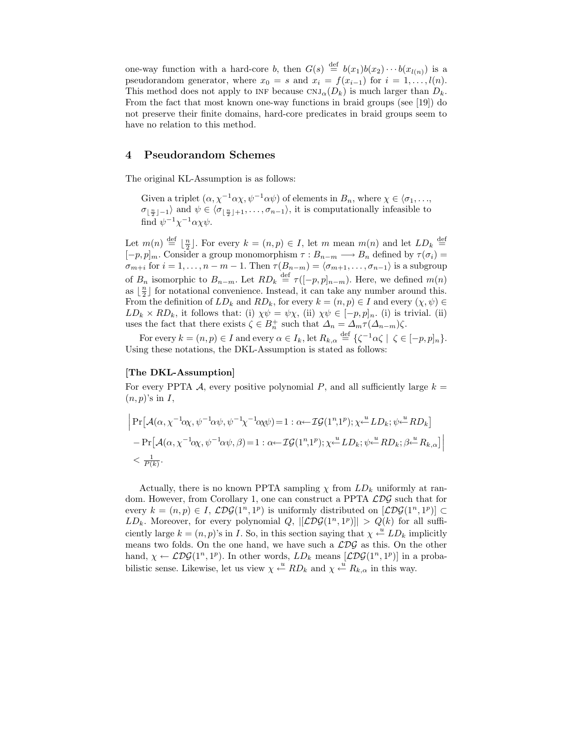one-way function with a hard-core b, then  $G(s) \stackrel{\text{def}}{=} b(x_1)b(x_2)\cdots b(x_{l(n)})$  is a pseudorandom generator, where  $x_0 = s$  and  $x_i = f(x_{i-1})$  for  $i = 1, \ldots, l(n)$ . This method does not apply to INF because  $\text{CNJ}_{\alpha}(D_k)$  is much larger than  $D_k$ . From the fact that most known one-way functions in braid groups (see [19]) do not preserve their finite domains, hard-core predicates in braid groups seem to have no relation to this method.

## 4 Pseudorandom Schemes

The original KL-Assumption is as follows:

Given a triplet  $(\alpha, \chi^{-1}\alpha\chi, \psi^{-1}\alpha\psi)$  of elements in  $B_n$ , where  $\chi \in \langle \sigma_1, \ldots, \sigma_n \rangle$  $\sigma_{\lfloor \frac{n}{2} \rfloor - 1}$  and  $\psi \in \langle \sigma_{\lfloor \frac{n}{2} \rfloor + 1}, \ldots, \sigma_{n-1} \rangle$ , it is computationally infeasible to find  $\psi^{-1}\chi^{-1}\alpha\chi\psi$ .

Let  $m(n) \stackrel{\text{def}}{=} \lfloor \frac{n}{2} \rfloor$ . For every  $k = (n, p) \in I$ , let m mean  $m(n)$  and let  $LD_k \stackrel{\text{def}}{=}$  $[-p, p]_m$ . Consider a group monomorphism  $\tau : B_{n-m} \longrightarrow B_n$  defined by  $\tau(\sigma_i) =$  $\sigma_{m+i}$  for  $i = 1, \ldots, n-m-1$ . Then  $\tau(B_{n-m}) = \langle \sigma_{m+1}, \ldots, \sigma_{n-1} \rangle$  is a subgroup of  $B_n$  isomorphic to  $B_{n-m}$ . Let  $RD_k \stackrel{\text{def}}{=} \tau([-p,p]_{n-m})$ . Here, we defined  $m(n)$ as  $\lfloor \frac{n}{2} \rfloor$  for notational convenience. Instead, it can take any number around this. From the definition of  $LD_k$  and  $RD_k$ , for every  $k = (n, p) \in I$  and every  $(\chi, \psi) \in$  $LD_k \times RD_k$ , it follows that: (i)  $\chi \psi = \psi \chi$ , (ii)  $\chi \psi \in [-p, p]_n$ . (i) is trivial. (ii) uses the fact that there exists  $\zeta \in B_n^+$  such that  $\Delta_n = \Delta_m \tau(\Delta_{n-m})\zeta$ .

For every  $k = (n, p) \in I$  and every  $\alpha \in I_k$ , let  $R_{k, \alpha} \stackrel{\text{def}}{=} {\{\zeta^{-1}\alpha\zeta \mid \zeta \in [-p, p]_n\}}$ . Using these notations, the DKL-Assumption is stated as follows:

## [The DKL-Assumption]

For every PPTA A, every positive polynomial P, and all sufficiently large  $k =$  $(n, p)$ 's in I,

$$
\begin{aligned}\n&\left|\Pr\left[\mathcal{A}(\alpha,\chi^{-1}\alpha\chi,\psi^{-1}\alpha\psi,\psi^{-1}\chi^{-1}\alpha\chi\psi)\right]=1:\alpha\leftarrow\mathcal{IG}(1^n,1^p);\chi\leftarrow^{\mathcal{U}}LD_k;\psi\leftarrow^{\mathcal{U}}RD_k\\
&- \Pr\left[\mathcal{A}(\alpha,\chi^{-1}\alpha\chi,\psi^{-1}\alpha\psi,\beta)\right]=1:\alpha\leftarrow\mathcal{IG}(1^n,1^p);\chi\leftarrow^{\mathcal{U}}LD_k;\psi\leftarrow^{\mathcal{U}}RD_k;\beta\leftarrow^{\mathcal{U}}R_k,\alpha\right]\n\right|\\
&<\frac{1}{P(k)}.\n\end{aligned}
$$

Actually, there is no known PPTA sampling  $\chi$  from  $LD_k$  uniformly at random. However, from Corollary 1, one can construct a PPTA  $\mathcal{LDG}$  such that for every  $k = (n, p) \in I$ ,  $\mathcal{LDG}(1^n, 1^p)$  is uniformly distributed on  $[\mathcal{LDG}(1^n, 1^p)] \subset$  $LD_k$ . Moreover, for every polynomial  $Q$ ,  $|[\mathcal{L} \mathcal{D} \mathcal{G}(1^n, 1^p)]| > Q(k)$  for all sufficiently large  $k = (n, p)$ 's in I. So, in this section saying that  $\chi \stackrel{u}{\leftarrow} LD_k$  implicitly means two folds. On the one hand, we have such a  $\mathcal{LDG}$  as this. On the other hand,  $\chi \leftarrow \mathcal{L} \mathcal{D} \mathcal{G} (1^n, 1^p)$ . In other words,  $LD_k$  means  $[\mathcal{L} \mathcal{D} \mathcal{G} (1^n, 1^p)]$  in a probabilistic sense. Likewise, let us view  $\chi \stackrel{u}{\leftarrow} RD_k$  and  $\chi \stackrel{u}{\leftarrow} R_{k,\alpha}$  in this way.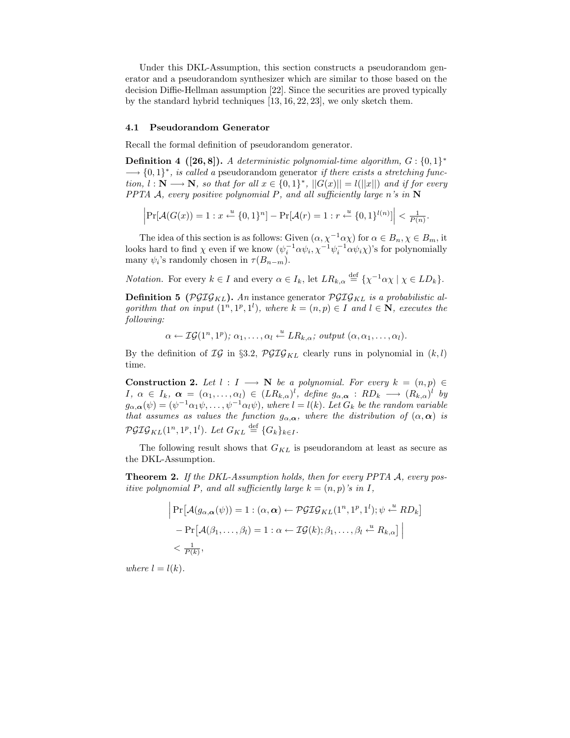Under this DKL-Assumption, this section constructs a pseudorandom generator and a pseudorandom synthesizer which are similar to those based on the decision Diffie-Hellman assumption [22]. Since the securities are proved typically by the standard hybrid techniques [13, 16, 22, 23], we only sketch them.

#### 4.1 Pseudorandom Generator

Recall the formal definition of pseudorandom generator.

**Definition 4** ([26,8]). A deterministic polynomial-time algorithm,  $G: \{0,1\}^*$  $\longrightarrow$  {0,1}<sup>\*</sup>, is called a pseudorandom generator if there exists a stretching function,  $l : \mathbb{N} \longrightarrow \mathbb{N}$ , so that for all  $x \in \{0,1\}^*$ ,  $||G(x)|| = l(||x||)$  and if for every PPTA A, every positive polynomial P, and all sufficiently large n's in  $N$ 

$$
\left|\Pr[\mathcal{A}(G(x)) = 1 : x \stackrel{u}{\leftarrow} \{0,1\}^n] - \Pr[\mathcal{A}(r) = 1 : r \stackrel{u}{\leftarrow} \{0,1\}^{l(n)}] \right| < \frac{1}{P(n)}.
$$

The idea of this section is as follows: Given  $(\alpha, \chi^{-1}\alpha\chi)$  for  $\alpha \in B_n$ ,  $\chi \in B_m$ , it looks hard to find  $\chi$  even if we know  $(\psi_i^{-1} \alpha \psi_i, \chi^{-1} \psi_i^{-1} \alpha \psi_i \chi)$ 's for polynomially many  $\psi_i$ 's randomly chosen in  $\tau(B_{n-m})$ .

*Notation.* For every  $k \in I$  and every  $\alpha \in I_k$ , let  $LR_{k,\alpha} \stackrel{\text{def}}{=} {\{\chi^{-1}\alpha\chi \mid \chi \in LD_k\}}$ .

**Definition 5** ( $\mathcal{PGIG}_{KL}$ ). An instance generator  $\mathcal{PGIG}_{KL}$  is a probabilistic algorithm that on input  $(1^n, 1^p, 1^l)$ , where  $k = (n, p) \in I$  and  $l \in \mathbb{N}$ , executes the following:

 $\alpha \leftarrow \mathcal{IG}(1^n, 1^p); \ \alpha_1, \ldots, \alpha_l \stackrel{u}{\leftarrow} LR_{k,\alpha}; \ output \ (\alpha, \alpha_1, \ldots, \alpha_l).$ 

By the definition of  $IG$  in §3.2,  $PGIG_{KL}$  clearly runs in polynomial in  $(k, l)$ time.

Construction 2. Let  $l : I \longrightarrow N$  be a polynomial. For every  $k = (n, p) \in$  $I, \alpha \in I_k, \boldsymbol{\alpha} = (\alpha_1, \ldots, \alpha_l) \in (LR_{k,\alpha})^l, \text{ define } g_{\alpha,\boldsymbol{\alpha}} : RD_k \longrightarrow (R_{k,\alpha})^l \text{ by }$  $g_{\alpha,\alpha}(\psi)=(\psi^{-1}\alpha_1\psi,\ldots,\psi^{-1}\alpha_l\psi),$  where  $l=l(k)$ . Let  $G_k$  be the random variable that assumes as values the function  $g_{\alpha,\alpha}$ , where the distribution of  $(\alpha,\alpha)$  is  $\mathcal{PGIG}_{KL}(1^n, 1^p, 1^l)$ . Let  $G_{KL} \stackrel{\text{def}}{=} \{G_k\}_{k \in I}$ .

The following result shows that  ${\cal G}_{KL}$  is pseudorandom at least as secure as the DKL-Assumption.

Theorem 2. If the DKL-Assumption holds, then for every PPTA A, every positive polynomial P, and all sufficiently large  $k = (n, p)$ 's in I,

$$
\begin{aligned}\n\left| \Pr \left[ \mathcal{A}(g_{\alpha,\alpha}(\psi)) = 1 : (\alpha, \alpha) \leftarrow \mathcal{PGIG}_{KL}(1^n, 1^p, 1^l); \psi \xleftarrow{u} RD_k \right] \\
&\quad - \Pr \left[ \mathcal{A}(\beta_1, \dots, \beta_l) = 1 : \alpha \leftarrow \mathcal{IG}(k); \beta_1, \dots, \beta_l \xleftarrow{u} R_{k,\alpha} \right] \Big| \\
&< \frac{1}{P(k)},\n\end{aligned}\n\right.
$$

where  $l = l(k)$ .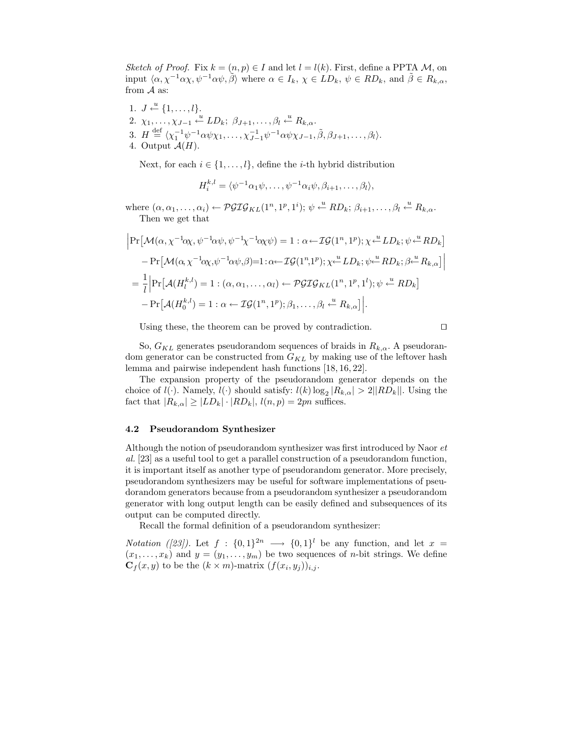Sketch of Proof. Fix  $k = (n, p) \in I$  and let  $l = l(k)$ . First, define a PPTA M, on input  $\langle \alpha, \chi^{-1} \alpha \chi, \psi^{-1} \alpha \psi, \tilde{\beta} \rangle$  where  $\alpha \in I_k$ ,  $\chi \in LD_k$ ,  $\psi \in RD_k$ , and  $\tilde{\beta} \in R_{k,\alpha}$ , from  $A$  as:

- 1.  $J \leftarrow \{1, \ldots, l\}.$
- 2.  $\chi_1, \ldots, \chi_{J-1} \stackrel{u}{\leftarrow} LD_k; \ \beta_{J+1}, \ldots, \beta_l \stackrel{u}{\leftarrow} R_{k,\alpha}.$
- 3.  $H \stackrel{\text{def}}{=} \langle \chi_1^{-1} \psi^{-1} \alpha \psi \chi_1, \dots, \chi_{J-1}^{-1} \psi^{-1} \alpha \psi \chi_{J-1}, \tilde{\beta}, \beta_{J+1}, \dots, \beta_l \rangle.$
- 4. Output  $A(H)$ .

Next, for each  $i \in \{1, ..., l\}$ , define the *i*-th hybrid distribution

$$
H_i^{k,l} = \langle \psi^{-1} \alpha_1 \psi, \dots, \psi^{-1} \alpha_i \psi, \beta_{i+1}, \dots, \beta_l \rangle,
$$

where  $(\alpha, \alpha_1, \ldots, \alpha_i) \leftarrow \mathcal{PGIG}_{KL}(1^n, 1^p, 1^i); \ \psi \leftarrow RD_k; \ \beta_{i+1}, \ldots, \beta_l \leftarrow R_{k, \alpha}.$ Then we get that

$$
\begin{split}\n&\left|\Pr\left[\mathcal{M}(\alpha,\chi^{-1}\alpha\chi,\psi^{-1}\alpha\psi,\psi^{-1}\chi^{-1}\alpha\chi\psi)\right]=1:\alpha\leftarrow\mathcal{IG}(1^n,1^p);\chi\leftarrow^{\mathcal{U}}LD_k;\psi\leftarrow^{\mathcal{U}}RD_k] \\
&- \Pr\left[\mathcal{M}(\alpha,\chi^{-1}\alpha\chi,\psi^{-1}\alpha\psi,\beta)\right]=1:\alpha\leftarrow\mathcal{IG}(1^n,1^p);\chi\leftarrow^{\mathcal{U}}LD_k;\psi\leftarrow^{\mathcal{U}}RD_k;\beta\leftarrow^{\mathcal{U}}R_{k,\alpha}\right]\right] \\
&=\frac{1}{l}\left|\Pr\left[\mathcal{A}(H_l^{k,l})=1:(\alpha,\alpha_1,\ldots,\alpha_l)\leftarrow\mathcal{PGIG}_{KL}(1^n,1^p,1^l);\psi\leftarrow^{\mathcal{U}}RD_k\right]\right. \\
&- \Pr\left[\mathcal{A}(H_0^{k,l})=1:\alpha\leftarrow\mathcal{IG}(1^n,1^p);\beta_1,\ldots,\beta_l\leftarrow^{\mathcal{U}}R_{k,\alpha}\right)\right].\n\end{split}
$$

Using these, the theorem can be proved by contradiction.

$$
\qquad \qquad \Box
$$

So,  $G_{KL}$  generates pseudorandom sequences of braids in  $R_{k,\alpha}$ . A pseudorandom generator can be constructed from  $G_{KL}$  by making use of the leftover hash lemma and pairwise independent hash functions [18, 16, 22].

The expansion property of the pseudorandom generator depends on the choice of  $l(\cdot)$ . Namely,  $l(\cdot)$  should satisfy:  $l(k) \log_2 |R_{k,\alpha}| > 2||RD_k||$ . Using the fact that  $|R_{k,\alpha}| \geq |LD_k| \cdot |RD_k|$ ,  $l(n,p) = 2pn$  suffices.

#### 4.2 Pseudorandom Synthesizer

Although the notion of pseudorandom synthesizer was first introduced by Naor et al. [23] as a useful tool to get a parallel construction of a pseudorandom function, it is important itself as another type of pseudorandom generator. More precisely, pseudorandom synthesizers may be useful for software implementations of pseudorandom generators because from a pseudorandom synthesizer a pseudorandom generator with long output length can be easily defined and subsequences of its output can be computed directly.

Recall the formal definition of a pseudorandom synthesizer:

*Notation* ([23]). Let  $f: \{0,1\}^{2n} \longrightarrow \{0,1\}^{l}$  be any function, and let  $x =$  $(x_1, \ldots, x_k)$  and  $y = (y_1, \ldots, y_m)$  be two sequences of *n*-bit strings. We define  $\mathbf{C}_f(x,y)$  to be the  $(k \times m)$ -matrix  $(f(x_i,y_j))_{i,j}$ .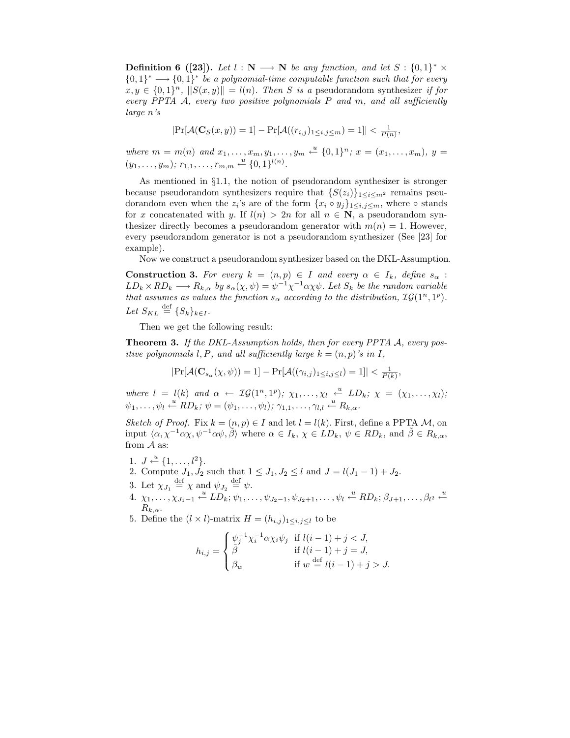**Definition 6** ([23]). Let  $l : \mathbb{N} \longrightarrow \mathbb{N}$  be any function, and let  $S : \{0,1\}^* \times \mathbb{N}$  ${0,1}^* \longrightarrow {0,1}^*$  be a polynomial-time computable function such that for every  $x, y \in \{0,1\}^n$ ,  $||S(x,y)|| = l(n)$ . Then S is a pseudorandom synthesizer if for every PPTA  $\mathcal{A}$ , every two positive polynomials P and  $m$ , and all sufficiently large n's

$$
Pr[\mathcal{A}(\mathbf{C}_S(x, y)) = 1] - Pr[\mathcal{A}((r_{i,j})_{1 \le i,j \le m}) = 1]| < \frac{1}{P(n)},
$$

where  $m = m(n)$  and  $x_1, \ldots, x_m, y_1, \ldots, y_m \stackrel{u}{\leftarrow} \{0,1\}^n$ ;  $x = (x_1, \ldots, x_m)$ ,  $y =$  $(y_1, \ldots, y_m); r_{1,1}, \ldots, r_{m,m} \stackrel{u}{\leftarrow} \{0,1\}^{l(n)}.$ 

As mentioned in §1.1, the notion of pseudorandom synthesizer is stronger because pseudorandom synthesizers require that  $\{S(z_i)\}_{1 \le i \le m^2}$  remains pseudorandom even when the  $z_i$ 's are of the form  $\{x_i \circ y_j\}_{1 \le i,j \le m}$ , where  $\circ$  stands for x concatenated with y. If  $l(n) > 2n$  for all  $n \in \mathbb{N}$ , a pseudorandom synthesizer directly becomes a pseudorandom generator with  $m(n) = 1$ . However, every pseudorandom generator is not a pseudorandom synthesizer (See [23] for example).

Now we construct a pseudorandom synthesizer based on the DKL-Assumption.

**Construction 3.** For every  $k = (n, p) \in I$  and every  $\alpha \in I_k$ , define  $s_{\alpha}$ :  $LD_k \times RD_k \longrightarrow R_{k,\alpha}$  by  $s_\alpha(\chi,\psi) = \psi^{-1}\chi^{-1}\alpha\chi\psi$ . Let  $S_k$  be the random variable that assumes as values the function  $s_{\alpha}$  according to the distribution,  $\mathcal{IG}(1^n, 1^p)$ . Let  $S_{KL} \stackrel{\text{def}}{=} \{S_k\}_{k \in I}$ .

Then we get the following result:

Theorem 3. If the DKL-Assumption holds, then for every PPTA A, every positive polynomials l, P, and all sufficiently large  $k = (n, p)$ 's in I,

$$
|\Pr[\mathcal{A}(\mathbf{C}_{s_{\alpha}}(\chi,\psi))=1]-\Pr[\mathcal{A}((\gamma_{i,j})_{1\leq i,j\leq l})=1]|<\frac{1}{P(k)},
$$

where  $l = l(k)$  and  $\alpha \leftarrow \mathcal{IG}(1^n, 1^p); \ \chi_1, \ldots, \chi_l \stackrel{u}{\leftarrow} LD_k; \ \chi = (\chi_1, \ldots, \chi_l);$  $\psi_1, \ldots, \psi_l \stackrel{u}{\leftarrow} RD_k; \, \psi = (\psi_1, \ldots, \psi_l); \, \gamma_{1,1}, \ldots, \gamma_{l,l} \stackrel{u}{\leftarrow} R_{k,\alpha}.$ 

Sketch of Proof. Fix  $k = (n, p) \in I$  and let  $l = l(k)$ . First, define a PPTA M, on input  $\langle \alpha, \chi^{-1} \alpha \chi, \psi^{-1} \alpha \psi, \tilde{\beta} \rangle$  where  $\alpha \in I_k$ ,  $\chi \in LD_k$ ,  $\psi \in RD_k$ , and  $\tilde{\beta} \in R_{k,\alpha}$ , from  $A$  as:

- 1.  $J \stackrel{u}{\leftarrow} \{1, \ldots, l^2\}.$
- 2. Compute  $J_1, J_2$  such that  $1 \leq J_1, J_2 \leq l$  and  $J = l(J_1 1) + J_2$ .
- 3. Let  $\chi_{J_1} \stackrel{\text{def}}{=} \chi$  and  $\psi_{J_2} \stackrel{\text{def}}{=} \psi$ .
- 4.  $\chi_1, \ldots, \chi_{J_1-1} \stackrel{u}{\leftarrow} LD_k; \psi_1, \ldots, \psi_{J_2-1}, \psi_{J_2+1}, \ldots, \psi_l \stackrel{u}{\leftarrow} RD_k; \beta_{J+1}, \ldots, \beta_{l^2} \stackrel{u}{\leftarrow}$  $R_{k,\alpha}$ .

5. Define the  $(l \times l)$ -matrix  $H = (h_{i,j})_{1 \leq i,j \leq l}$  to be

$$
h_{i,j} = \begin{cases} \psi_j^{-1} \chi_i^{-1} \alpha \chi_i \psi_j & \text{if } l(i-1) + j < J, \\ \tilde{\beta} & \text{if } l(i-1) + j = J, \\ \beta_w & \text{if } w \stackrel{\text{def}}{=} l(i-1) + j > J. \end{cases}
$$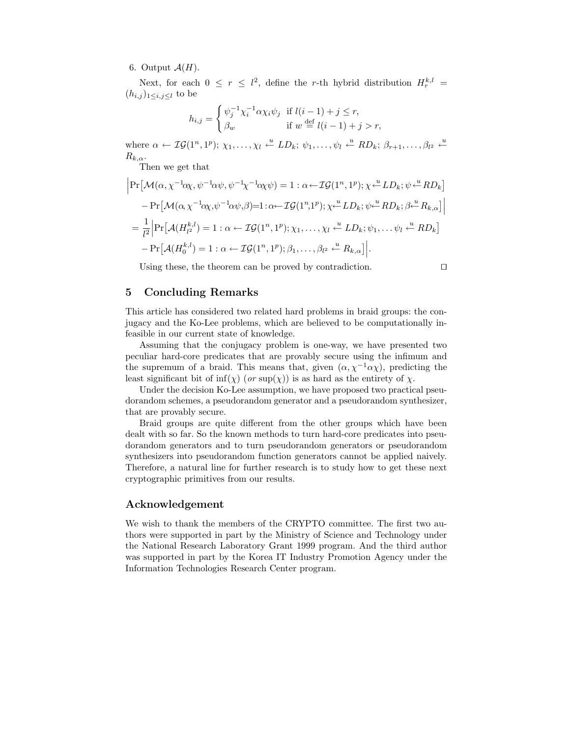## 6. Output  $\mathcal{A}(H)$ .

Next, for each  $0 \leq r \leq l^2$ , define the r-th hybrid distribution  $H_r^{k,l}$  =  $(h_{i,j})_{1\leq i,j\leq l}$  to be

$$
h_{i,j} = \begin{cases} \psi_j^{-1} \chi_i^{-1} \alpha \chi_i \psi_j & \text{if } l(i-1) + j \le r, \\ \beta_w & \text{if } w \stackrel{\text{def}}{=} l(i-1) + j > r, \end{cases}
$$

where  $\alpha \leftarrow \mathcal{IG}(1^n, 1^p); \ \chi_1, \ldots, \chi_l \leftarrow^u LD_k; \ \psi_1, \ldots, \psi_l \leftarrow^u RD_k; \ \beta_{r+1}, \ldots, \beta_{l^2} \leftarrow^u \mathcal{IG}(1^n, 1^p)$  $R_{k,\alpha}$ .

Then we get that

$$
\begin{split}\n&\left|\Pr\left[\mathcal{M}(\alpha,\chi^{-1}\alpha\chi,\psi^{-1}\alpha\psi,\psi^{-1}\chi^{-1}\alpha\chi\psi)\right.\right.\\
&\left.-\Pr\left[\mathcal{M}(\alpha,\chi^{-1}\alpha\chi,\psi^{-1}\alpha\psi,\beta)\right.\\
&- \Pr\left[\mathcal{M}(\alpha,\chi^{-1}\alpha\chi,\psi^{-1}\alpha\psi,\beta)\right.\\
&\left.-\Pr\left[\mathcal{M}(\alpha,\chi^{-1}\alpha\chi,\psi^{-1}\alpha\psi,\beta)\right.\\
&\left.-\frac{1}{l^2}\left|\Pr\left[\mathcal{A}(H_{l^2}^{k,l})\right.\right.\\
&\left.\left.-\mathcal{IG}(1^n,1^p);\chi_1,\ldots,\chi_l\right.\right.\\
&\left.\left.\left.\left.\left.\mathcal{L}\right.\right.\right\}.\left.\left.\mathcal{L}\right.\right)\right.\\
&\left.\left.-\mathcal{IG}(1^n,1^p);\chi_1,\ldots,\chi_l\right.\right.\\
&\left.\left.\mathcal{L}\right.\left.\mathcal{L}\right.\left.\mathcal{L}\right.\left.\left.\mathcal{L}\right.\left.\mathcal{L}\right.\left.\mathcal{L}\right.\left.\mathcal{L}\right.\left.\mathcal{L}\right.\left.\mathcal{L}\right.\left.\mathcal{L}\right.\left.\mathcal{L}\right.\left.\mathcal{L}\right.\left.\mathcal{L}\right.\left.\mathcal{L}\right.\left.\mathcal{L}\right.\left.\mathcal{L}\right.\left.\mathcal{L}\right.\left.\mathcal{L}\right.\left.\mathcal{L}\right.\left.\mathcal{L}\right.\left.\mathcal{L}\right.\left.\mathcal{L}\right.\left.\mathcal{L}\right.\left.\mathcal{L}\right.\left.\mathcal{L}\right.\left.\mathcal{L}\right.\left.\mathcal{L}\right.\left.\mathcal{L}\right.\left.\mathcal{L}\right.\left.\mathcal{L}\right.\left.\mathcal{L}\right.\left.\mathcal{L}\right.\left.\mathcal{L}\right.\left.\mathcal{L}\right.\left.\mathcal{L}\right.\left.\mathcal{L}\right.\left.\mathcal{L}\right.\left.\mathcal{L}\right.\left.\mathcal{L}\right.\left.\mathcal{L}\right.\left.\mathcal{L}\right.\left.\mathcal{L}\right.\left.\mathcal{L}\right.\left.\mathcal{L}\right.\left.\mathcal{L}\right.\left.\mathcal{L}\right.\left.\mathcal{L}\right.\left.\mathcal{
$$

Using these, the theorem can be proved by contradiction.

$$
\Box
$$

# 5 Concluding Remarks

This article has considered two related hard problems in braid groups: the conjugacy and the Ko-Lee problems, which are believed to be computationally infeasible in our current state of knowledge.

Assuming that the conjugacy problem is one-way, we have presented two peculiar hard-core predicates that are provably secure using the infimum and the supremum of a braid. This means that, given  $(\alpha, \chi^{-1}\alpha\chi)$ , predicting the least significant bit of  $\inf(\chi)$  (or  $\sup(\chi)$ ) is as hard as the entirety of  $\chi$ .

Under the decision Ko-Lee assumption, we have proposed two practical pseudorandom schemes, a pseudorandom generator and a pseudorandom synthesizer, that are provably secure.

Braid groups are quite different from the other groups which have been dealt with so far. So the known methods to turn hard-core predicates into pseudorandom generators and to turn pseudorandom generators or pseudorandom synthesizers into pseudorandom function generators cannot be applied naively. Therefore, a natural line for further research is to study how to get these next cryptographic primitives from our results.

## Acknowledgement

We wish to thank the members of the CRYPTO committee. The first two authors were supported in part by the Ministry of Science and Technology under the National Research Laboratory Grant 1999 program. And the third author was supported in part by the Korea IT Industry Promotion Agency under the Information Technologies Research Center program.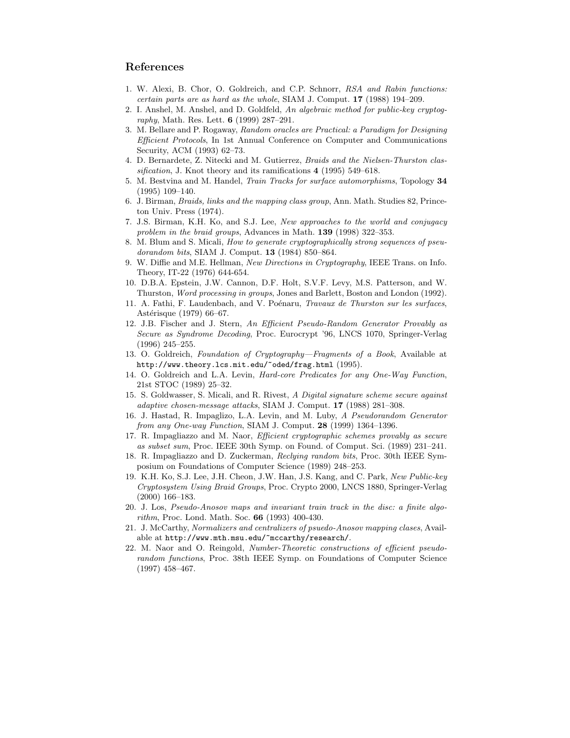# References

- 1. W. Alexi, B. Chor, O. Goldreich, and C.P. Schnorr, RSA and Rabin functions: certain parts are as hard as the whole, SIAM J. Comput. 17 (1988) 194–209.
- 2. I. Anshel, M. Anshel, and D. Goldfeld, An algebraic method for public-key cryptography, Math. Res. Lett. 6 (1999) 287–291.
- 3. M. Bellare and P. Rogaway, Random oracles are Practical: a Paradigm for Designing Efficient Protocols, In 1st Annual Conference on Computer and Communications Security, ACM (1993) 62–73.
- 4. D. Bernardete, Z. Nitecki and M. Gutierrez, Braids and the Nielsen-Thurston classification, J. Knot theory and its ramifications 4 (1995) 549–618.
- 5. M. Bestvina and M. Handel, Train Tracks for surface automorphisms, Topology 34 (1995) 109–140.
- 6. J. Birman, Braids, links and the mapping class group, Ann. Math. Studies 82, Princeton Univ. Press (1974).
- 7. J.S. Birman, K.H. Ko, and S.J. Lee, New approaches to the world and conjugacy problem in the braid groups, Advances in Math. 139 (1998) 322–353.
- 8. M. Blum and S. Micali, How to generate cryptographically strong sequences of pseudorandom bits, SIAM J. Comput. 13 (1984) 850–864.
- 9. W. Diffie and M.E. Hellman, New Directions in Cryptography, IEEE Trans. on Info. Theory, IT-22 (1976) 644-654.
- 10. D.B.A. Epstein, J.W. Cannon, D.F. Holt, S.V.F. Levy, M.S. Patterson, and W. Thurston, Word processing in groups, Jones and Barlett, Boston and London (1992).
- 11. A. Fathi, F. Laudenbach, and V. Poénaru, Travaux de Thurston sur les surfaces, Astérisque (1979) 66–67.
- 12. J.B. Fischer and J. Stern, An Efficient Pseudo-Random Generator Provably as Secure as Syndrome Decoding, Proc. Eurocrypt '96, LNCS 1070, Springer-Verlag (1996) 245–255.
- 13. O. Goldreich, Foundation of Cryptography—Fragments of a Book, Available at http://www.theory.lcs.mit.edu/~oded/frag.html (1995).
- 14. O. Goldreich and L.A. Levin, Hard-core Predicates for any One-Way Function, 21st STOC (1989) 25–32.
- 15. S. Goldwasser, S. Micali, and R. Rivest, A Digital signature scheme secure against adaptive chosen-message attacks, SIAM J. Comput. 17 (1988) 281–308.
- 16. J. Hastad, R. Impaglizo, L.A. Levin, and M. Luby, A Pseudorandom Generator from any One-way Function, SIAM J. Comput. 28 (1999) 1364–1396.
- 17. R. Impagliazzo and M. Naor, Efficient cryptographic schemes provably as secure as subset sum, Proc. IEEE 30th Symp. on Found. of Comput. Sci. (1989) 231–241.
- 18. R. Impagliazzo and D. Zuckerman, Reclying random bits, Proc. 30th IEEE Symposium on Foundations of Computer Science (1989) 248–253.
- 19. K.H. Ko, S.J. Lee, J.H. Cheon, J.W. Han, J.S. Kang, and C. Park, New Public-key Cryptosystem Using Braid Groups, Proc. Crypto 2000, LNCS 1880, Springer-Verlag (2000) 166–183.
- 20. J. Los, Pseudo-Anosov maps and invariant train track in the disc: a finite algorithm, Proc. Lond. Math. Soc. 66 (1993) 400-430.
- 21. J. McCarthy, Normalizers and centralizers of psuedo-Anosov mapping clases, Available at http://www.mth.msu.edu/~mccarthy/research/.
- 22. M. Naor and O. Reingold, Number-Theoretic constructions of efficient pseudorandom functions, Proc. 38th IEEE Symp. on Foundations of Computer Science (1997) 458–467.